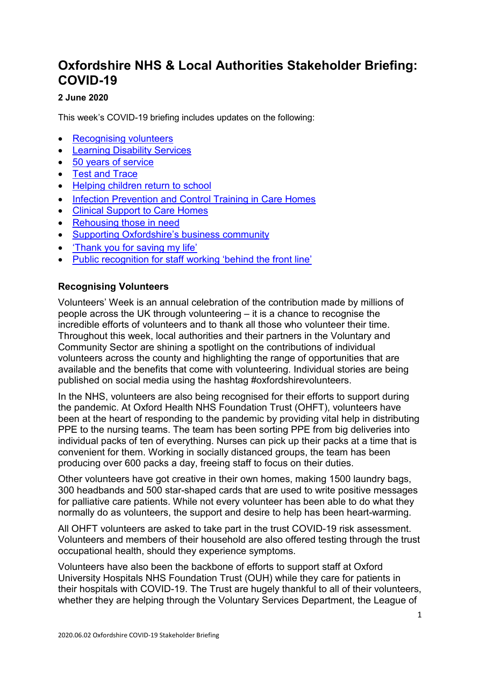# **Oxfordshire NHS & Local Authorities Stakeholder Briefing: COVID-19**

## **2 June 2020**

This week's COVID-19 briefing includes updates on the following:

- [Recognising volunteers](#page-0-0)
- [Learning Disability Services](#page-1-0)
- [50 years of service](#page-1-1)
- [Test and Trace](#page-1-2)
- [Helping children return to school](#page-2-0)
- [Infection Prevention and Control Training in Care Homes](#page-2-1)
- [Clinical Support to Care Homes](#page-2-2)
- [Rehousing those in need](#page-3-0)
- [Supporting Oxfordshire's business community](#page-3-1)
- ['Thank you for saving my life'](#page-3-2)
- [Public recognition for staff working 'behind the front line'](#page-3-3)

## <span id="page-0-0"></span>**Recognising Volunteers**

Volunteers' Week is an annual celebration of the contribution made by millions of people across the UK through volunteering – it is a chance to recognise the incredible efforts of volunteers and to thank all those who volunteer their time. Throughout this week, local authorities and their partners in the Voluntary and Community Sector are shining a spotlight on the contributions of individual volunteers across the county and highlighting the range of opportunities that are available and the benefits that come with volunteering. Individual stories are being published on social media using the hashtag #oxfordshirevolunteers.

In the NHS, volunteers are also being recognised for their efforts to support during the pandemic. At Oxford Health NHS Foundation Trust (OHFT), volunteers have been at the heart of responding to the pandemic by providing vital help in distributing PPE to the nursing teams. The team has been sorting PPE from big deliveries into individual packs of ten of everything. Nurses can pick up their packs at a time that is convenient for them. Working in socially distanced groups, the team has been producing over 600 packs a day, freeing staff to focus on their duties.

Other volunteers have got creative in their own homes, making 1500 laundry bags, 300 headbands and 500 star-shaped cards that are used to write positive messages for palliative care patients. While not every volunteer has been able to do what they normally do as volunteers, the support and desire to help has been heart-warming.

All OHFT volunteers are asked to take part in the trust COVID-19 risk assessment. Volunteers and members of their household are also offered testing through the trust occupational health, should they experience symptoms.

Volunteers have also been the backbone of efforts to support staff at Oxford University Hospitals NHS Foundation Trust (OUH) while they care for patients in their hospitals with COVID-19. The Trust are hugely thankful to all of their volunteers, whether they are helping through the Voluntary Services Department, the League of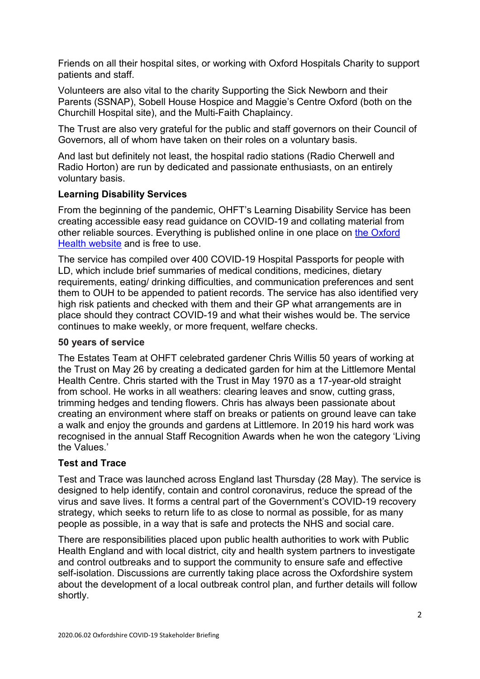Friends on all their hospital sites, or working with Oxford Hospitals Charity to support patients and staff.

Volunteers are also vital to the charity Supporting the Sick Newborn and their Parents (SSNAP), Sobell House Hospice and Maggie's Centre Oxford (both on the Churchill Hospital site), and the Multi-Faith Chaplaincy.

The Trust are also very grateful for the public and staff governors on their Council of Governors, all of whom have taken on their roles on a voluntary basis.

And last but definitely not least, the hospital radio stations (Radio Cherwell and Radio Horton) are run by dedicated and passionate enthusiasts, on an entirely voluntary basis.

## <span id="page-1-0"></span>**Learning Disability Services**

From the beginning of the pandemic, OHFT's Learning Disability Service has been creating accessible easy read guidance on COVID-19 and collating material from other reliable sources. Everything is published online in one place on the Oxford [Health website](https://www.oxfordhealth.nhs.uk/learning-disability-service/useful-stuff/) and is free to use.

The service has compiled over 400 COVID-19 Hospital Passports for people with LD, which include brief summaries of medical conditions, medicines, dietary requirements, eating/ drinking difficulties, and communication preferences and sent them to OUH to be appended to patient records. The service has also identified very high risk patients and checked with them and their GP what arrangements are in place should they contract COVID-19 and what their wishes would be. The service continues to make weekly, or more frequent, welfare checks.

### <span id="page-1-1"></span>**50 years of service**

The Estates Team at OHFT celebrated gardener Chris Willis 50 years of working at the Trust on May 26 by creating a dedicated garden for him at the Littlemore Mental Health Centre. Chris started with the Trust in May 1970 as a 17-year-old straight from school. He works in all weathers: clearing leaves and snow, cutting grass, trimming hedges and tending flowers. Chris has always been passionate about creating an environment where staff on breaks or patients on ground leave can take a walk and enjoy the grounds and gardens at Littlemore. In 2019 his hard work was recognised in the annual Staff Recognition Awards when he won the category 'Living the Values.'

### <span id="page-1-2"></span>**Test and Trace**

Test and Trace was launched across England last Thursday (28 May). The service is designed to help identify, contain and control coronavirus, reduce the spread of the virus and save lives. It forms a central part of the Government's COVID-19 recovery strategy, which seeks to return life to as close to normal as possible, for as many people as possible, in a way that is safe and protects the NHS and social care.

There are responsibilities placed upon public health authorities to work with Public Health England and with local district, city and health system partners to investigate and control outbreaks and to support the community to ensure safe and effective self-isolation. Discussions are currently taking place across the Oxfordshire system about the development of a local outbreak control plan, and further details will follow shortly.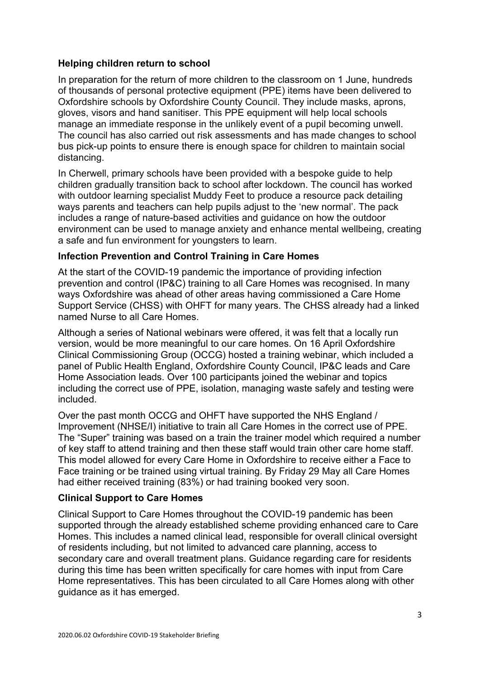### <span id="page-2-0"></span>**Helping children return to school**

In preparation for the return of more children to the classroom on 1 June, hundreds of thousands of personal protective equipment (PPE) items have been delivered to Oxfordshire schools by Oxfordshire County Council. They include masks, aprons, gloves, visors and hand sanitiser. This PPE equipment will help local schools manage an immediate response in the unlikely event of a pupil becoming unwell. The council has also carried out risk assessments and has made changes to school bus pick-up points to ensure there is enough space for children to maintain social distancing.

In Cherwell, primary schools have been provided with a bespoke guide to help children gradually transition back to school after lockdown. The council has worked with outdoor learning specialist Muddy Feet to produce a resource pack detailing ways parents and teachers can help pupils adjust to the 'new normal'. The pack includes a range of nature-based activities and guidance on how the outdoor environment can be used to manage anxiety and enhance mental wellbeing, creating a safe and fun environment for youngsters to learn.

## <span id="page-2-1"></span>**Infection Prevention and Control Training in Care Homes**

At the start of the COVID-19 pandemic the importance of providing infection prevention and control (IP&C) training to all Care Homes was recognised. In many ways Oxfordshire was ahead of other areas having commissioned a Care Home Support Service (CHSS) with OHFT for many years. The CHSS already had a linked named Nurse to all Care Homes.

Although a series of National webinars were offered, it was felt that a locally run version, would be more meaningful to our care homes. On 16 April Oxfordshire Clinical Commissioning Group (OCCG) hosted a training webinar, which included a panel of Public Health England, Oxfordshire County Council, IP&C leads and Care Home Association leads. Over 100 participants joined the webinar and topics including the correct use of PPE, isolation, managing waste safely and testing were included.

Over the past month OCCG and OHFT have supported the NHS England / Improvement (NHSE/I) initiative to train all Care Homes in the correct use of PPE. The "Super" training was based on a train the trainer model which required a number of key staff to attend training and then these staff would train other care home staff. This model allowed for every Care Home in Oxfordshire to receive either a Face to Face training or be trained using virtual training. By Friday 29 May all Care Homes had either received training (83%) or had training booked very soon.

### <span id="page-2-2"></span>**Clinical Support to Care Homes**

Clinical Support to Care Homes throughout the COVID-19 pandemic has been supported through the already established scheme providing enhanced care to Care Homes. This includes a named clinical lead, responsible for overall clinical oversight of residents including, but not limited to advanced care planning, access to secondary care and overall treatment plans. Guidance regarding care for residents during this time has been written specifically for care homes with input from Care Home representatives. This has been circulated to all Care Homes along with other guidance as it has emerged.